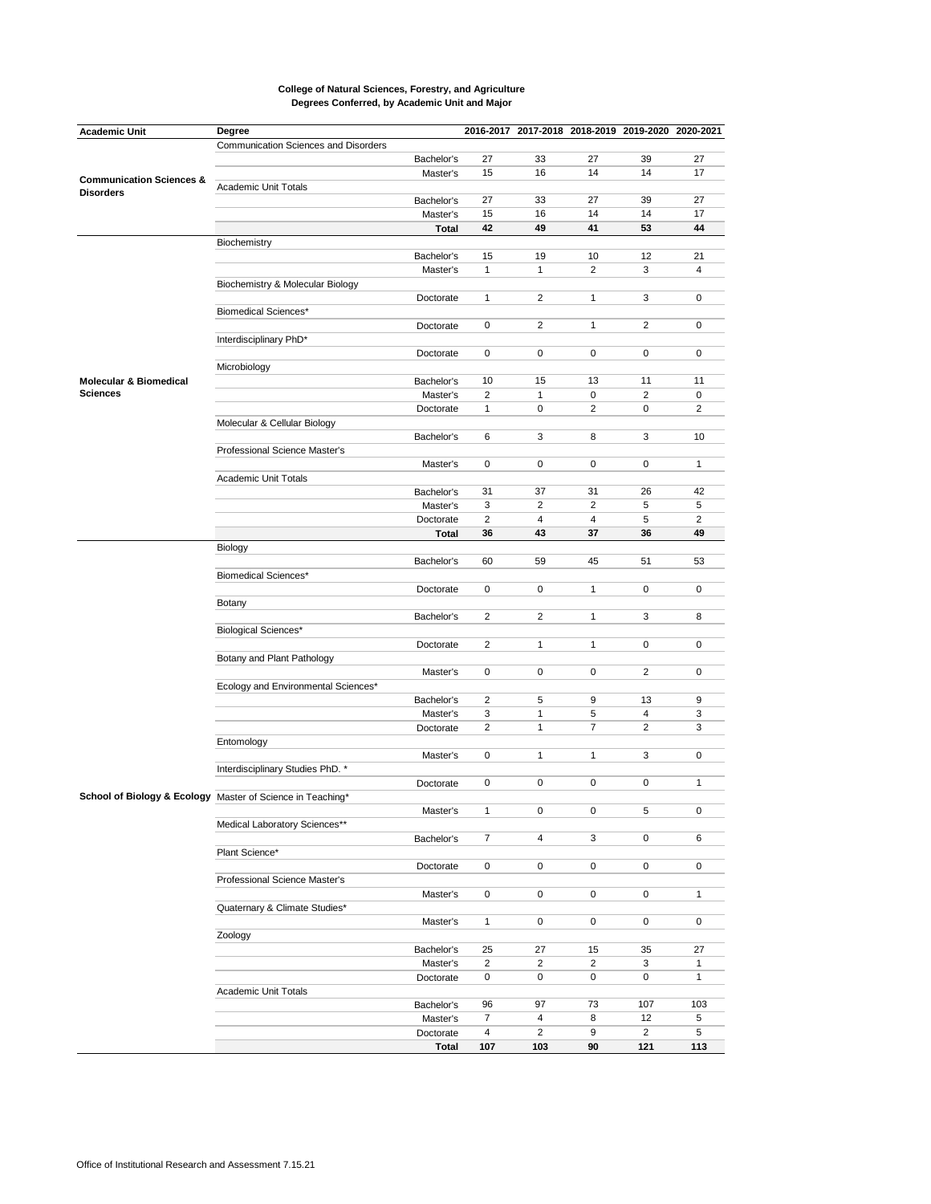| <b>Academic Unit</b>                | Degree                                                     |              |                |                | 2016-2017 2017-2018 2018-2019 2019-2020 2020-2021 |                |              |
|-------------------------------------|------------------------------------------------------------|--------------|----------------|----------------|---------------------------------------------------|----------------|--------------|
|                                     | Communication Sciences and Disorders                       |              |                |                |                                                   |                |              |
|                                     |                                                            | Bachelor's   | 27             | 33             | 27                                                | 39             | 27           |
|                                     |                                                            | Master's     | 15             | 16             | 14                                                | 14             | 17           |
| <b>Communication Sciences &amp;</b> | Academic Unit Totals                                       |              |                |                |                                                   |                |              |
| <b>Disorders</b>                    |                                                            | Bachelor's   | 27             | 33             | 27                                                | 39             | 27           |
|                                     |                                                            | Master's     | 15             | 16             | 14                                                | 14             | 17           |
|                                     |                                                            |              |                |                |                                                   |                |              |
|                                     |                                                            | <b>Total</b> | 42             | 49             | 41                                                | 53             | 44           |
|                                     | Biochemistry                                               |              |                |                |                                                   |                |              |
|                                     |                                                            | Bachelor's   | 15             | 19             | 10                                                | 12             | 21           |
|                                     |                                                            | Master's     | $\mathbf{1}$   | $\mathbf{1}$   | $\overline{2}$                                    | 3              | 4            |
|                                     | Biochemistry & Molecular Biology                           |              |                |                |                                                   |                |              |
|                                     |                                                            | Doctorate    | $\mathbf{1}$   | $\overline{2}$ | 1                                                 | 3              | 0            |
|                                     | <b>Biomedical Sciences*</b>                                |              |                |                |                                                   |                |              |
|                                     |                                                            | Doctorate    | 0              | 2              | $\mathbf{1}$                                      | 2              | 0            |
|                                     | Interdisciplinary PhD*                                     |              |                |                |                                                   |                |              |
|                                     |                                                            | Doctorate    | 0              | 0              | 0                                                 | 0              | 0            |
|                                     | Microbiology                                               |              |                |                |                                                   |                |              |
| <b>Molecular &amp; Biomedical</b>   |                                                            | Bachelor's   | 10             | 15             | 13                                                | 11             | 11           |
| <b>Sciences</b>                     |                                                            | Master's     | $\overline{2}$ | $\mathbf{1}$   | 0                                                 | $\overline{2}$ | 0            |
|                                     |                                                            | Doctorate    | 1              | 0              | $\overline{2}$                                    | 0              | 2            |
|                                     | Molecular & Cellular Biology                               |              |                |                |                                                   |                |              |
|                                     |                                                            |              |                |                |                                                   |                |              |
|                                     |                                                            | Bachelor's   | 6              | 3              | 8                                                 | 3              | 10           |
|                                     | Professional Science Master's                              |              |                |                |                                                   |                |              |
|                                     |                                                            | Master's     | 0              | 0              | 0                                                 | 0              | $\mathbf{1}$ |
|                                     | Academic Unit Totals                                       |              |                |                |                                                   |                |              |
|                                     |                                                            | Bachelor's   | 31             | 37             | 31                                                | 26             | 42           |
|                                     |                                                            | Master's     | 3              | $\overline{2}$ | $\overline{2}$                                    | 5              | 5            |
|                                     |                                                            | Doctorate    | $\overline{2}$ | 4              | 4                                                 | 5              | 2            |
|                                     |                                                            | Total        | 36             | 43             | 37                                                | 36             | 49           |
|                                     | Biology                                                    |              |                |                |                                                   |                |              |
|                                     |                                                            | Bachelor's   | 60             | 59             | 45                                                | 51             | 53           |
|                                     | <b>Biomedical Sciences*</b>                                |              |                |                |                                                   |                |              |
|                                     |                                                            | Doctorate    | 0              | 0              | 1                                                 | 0              | 0            |
|                                     | Botany                                                     |              |                |                |                                                   |                |              |
|                                     |                                                            |              | 2              | 2              | 1                                                 | 3              | 8            |
|                                     |                                                            | Bachelor's   |                |                |                                                   |                |              |
|                                     | <b>Biological Sciences*</b>                                |              |                |                |                                                   |                |              |
|                                     |                                                            | Doctorate    | 2              | $\mathbf{1}$   | $\mathbf{1}$                                      | 0              | 0            |
|                                     | Botany and Plant Pathology                                 |              |                |                |                                                   |                |              |
|                                     |                                                            | Master's     | 0              | 0              | 0                                                 | 2              | 0            |
|                                     | Ecology and Environmental Sciences*                        |              |                |                |                                                   |                |              |
|                                     |                                                            | Bachelor's   | 2              | 5              | 9                                                 | 13             | 9            |
|                                     |                                                            | Master's     | 3              | 1              | 5                                                 | $\overline{4}$ | 3            |
|                                     |                                                            | Doctorate    | 2              | $\mathbf{1}$   | 7                                                 | 2              | 3            |
|                                     | Entomology                                                 |              |                |                |                                                   |                |              |
|                                     |                                                            | Master's     | 0              | $\mathbf{1}$   | 1                                                 | 3              | 0            |
|                                     | Interdisciplinary Studies PhD. *                           |              |                |                |                                                   |                |              |
|                                     |                                                            | Doctorate    | 0              | $\mathbf 0$    | 0                                                 | 0              | $\mathbf{1}$ |
|                                     |                                                            |              |                |                |                                                   |                |              |
|                                     | School of Biology & Ecology Master of Science in Teaching* |              |                |                |                                                   |                |              |
|                                     |                                                            | Master's     | 1              | 0              | 0                                                 | 5              | 0            |
|                                     | Medical Laboratory Sciences**                              |              |                |                |                                                   |                |              |
|                                     |                                                            | Bachelor's   | 7              | 4              | 3                                                 | 0              | 6            |
|                                     | Plant Science*                                             |              |                |                |                                                   |                |              |
|                                     |                                                            | Doctorate    | 0              | $\mathbf 0$    | 0                                                 | 0              | 0            |
|                                     | Professional Science Master's                              |              |                |                |                                                   |                |              |
|                                     |                                                            | Master's     | 0              | 0              | 0                                                 | 0              | $\mathbf{1}$ |
|                                     | Quaternary & Climate Studies*                              |              |                |                |                                                   |                |              |
|                                     |                                                            | Master's     | $\mathbf{1}$   | $\mathbf 0$    | 0                                                 | 0              | 0            |
|                                     | Zoology                                                    |              |                |                |                                                   |                |              |
|                                     |                                                            |              |                |                |                                                   |                |              |
|                                     |                                                            | Bachelor's   | 25             | 27             | 15                                                | 35             | 27           |
|                                     |                                                            | Master's     | $\overline{2}$ | $\overline{2}$ | $\overline{2}$                                    | 3              | $\mathbf{1}$ |
|                                     |                                                            | Doctorate    | 0              | 0              | 0                                                 | 0              | $\mathbf{1}$ |
|                                     | Academic Unit Totals                                       |              |                |                |                                                   |                |              |
|                                     |                                                            | Bachelor's   | 96             | 97             | 73                                                | 107            | 103          |
|                                     |                                                            | Master's     | $\overline{7}$ | $\overline{4}$ | 8                                                 | 12             | 5            |
|                                     |                                                            | Doctorate    | $\overline{4}$ | $\overline{2}$ | 9                                                 | $\overline{2}$ | 5            |
|                                     |                                                            | <b>Total</b> | 107            | 103            | 90                                                | 121            | 113          |
|                                     |                                                            |              |                |                |                                                   |                |              |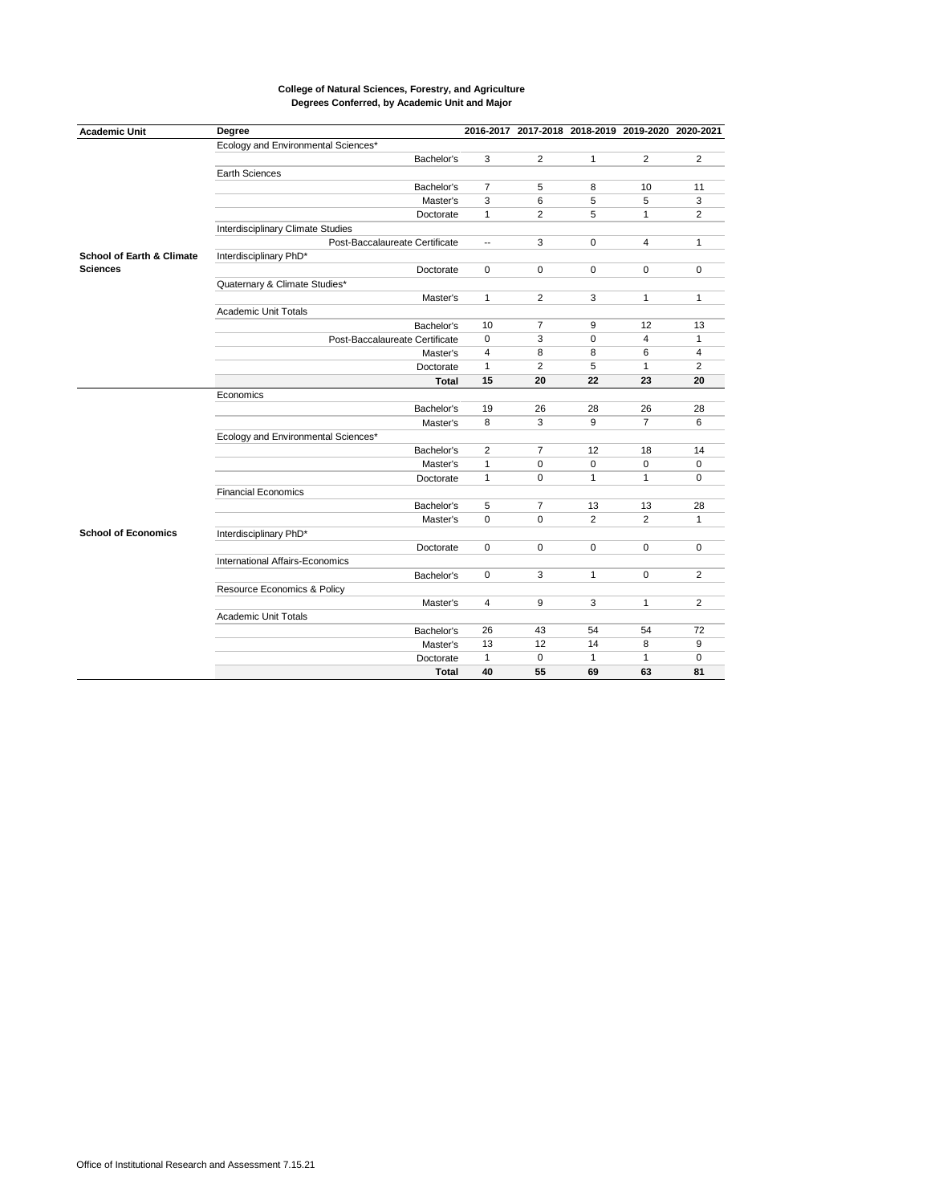| Ecology and Environmental Sciences*<br>$\overline{2}$<br>$\overline{2}$<br>Bachelor's<br>3<br>2<br>$\mathbf{1}$<br><b>Earth Sciences</b><br>Bachelor's<br>$\overline{7}$<br>5<br>11<br>8<br>10<br>3<br>6<br>5<br>5<br>Master's<br>3<br>$\mathbf{1}$<br>$\overline{2}$<br>5<br>$\overline{2}$<br>$\mathbf{1}$<br>Doctorate<br>Interdisciplinary Climate Studies<br>3<br>Post-Baccalaureate Certificate<br>$\Omega$<br>4<br>$\mathbf{1}$<br>$\overline{\phantom{a}}$<br><b>School of Earth &amp; Climate</b><br>Interdisciplinary PhD*<br><b>Sciences</b><br>$\mathbf 0$<br>Doctorate<br>0<br>$\mathbf 0$<br>$\mathbf 0$<br>0<br>Quaternary & Climate Studies*<br>$\mathbf{1}$<br>2<br>3<br>$\mathbf{1}$<br>$\mathbf{1}$<br>Master's<br><b>Academic Unit Totals</b><br>$\overline{7}$<br>12<br>13<br>10<br>9<br>Bachelor's<br>3<br>$\mathbf 0$<br>$\overline{4}$<br>0<br>$\mathbf{1}$<br>Post-Baccalaureate Certificate<br>4<br>8<br>8<br>6<br>4<br>Master's<br>$\overline{2}$<br>5<br>1<br>$\mathbf{1}$<br>2<br>Doctorate<br>15<br>20<br>22<br>23<br>20<br><b>Total</b><br>Economics<br>Bachelor's<br>19<br>26<br>28<br>26<br>28<br>3<br>9<br>$\overline{7}$<br>8<br>6<br>Master's<br>Ecology and Environmental Sciences*<br>$\overline{7}$<br>Bachelor's<br>2<br>12<br>18<br>14<br>1<br>0<br>$\mathbf 0$<br>0<br>0<br>Master's<br>Doctorate<br>$\mathbf{1}$<br>0<br>$\mathbf{1}$<br>$\mathbf{1}$<br>0<br><b>Financial Economics</b><br>5<br>$\overline{7}$<br>13<br>13<br>28<br>Bachelor's<br>2<br>$\overline{2}$<br>Master's<br>0<br>$\mathbf 0$<br>1<br><b>School of Economics</b><br>Interdisciplinary PhD*<br>0<br>$\Omega$<br>$\Omega$<br>$\Omega$<br>$\mathbf 0$<br>Doctorate<br>International Affairs-Economics<br>Bachelor's<br>3<br>2<br>0<br>$\mathbf{1}$<br>0<br>Resource Economics & Policy<br>2<br>4<br>9<br>3<br>$\mathbf{1}$<br>Master's<br><b>Academic Unit Totals</b><br>72<br>26<br>43<br>54<br>54<br>Bachelor's<br>12<br>14<br>8<br>9<br>13<br>Master's<br>$\mathbf{1}$<br>$\mathbf 0$<br>$\mathbf{1}$<br>$\mathbf{1}$<br>0<br>Doctorate<br><b>Total</b><br>40<br>55<br>69<br>63<br>81 | <b>Academic Unit</b> | Degree |  |  | 2016-2017 2017-2018 2018-2019 2019-2020 2020-2021 |  |
|-----------------------------------------------------------------------------------------------------------------------------------------------------------------------------------------------------------------------------------------------------------------------------------------------------------------------------------------------------------------------------------------------------------------------------------------------------------------------------------------------------------------------------------------------------------------------------------------------------------------------------------------------------------------------------------------------------------------------------------------------------------------------------------------------------------------------------------------------------------------------------------------------------------------------------------------------------------------------------------------------------------------------------------------------------------------------------------------------------------------------------------------------------------------------------------------------------------------------------------------------------------------------------------------------------------------------------------------------------------------------------------------------------------------------------------------------------------------------------------------------------------------------------------------------------------------------------------------------------------------------------------------------------------------------------------------------------------------------------------------------------------------------------------------------------------------------------------------------------------------------------------------------------------------------------------------------------------------------------------------------------------------------------------------------------------------------------------------------------------|----------------------|--------|--|--|---------------------------------------------------|--|
|                                                                                                                                                                                                                                                                                                                                                                                                                                                                                                                                                                                                                                                                                                                                                                                                                                                                                                                                                                                                                                                                                                                                                                                                                                                                                                                                                                                                                                                                                                                                                                                                                                                                                                                                                                                                                                                                                                                                                                                                                                                                                                           |                      |        |  |  |                                                   |  |
|                                                                                                                                                                                                                                                                                                                                                                                                                                                                                                                                                                                                                                                                                                                                                                                                                                                                                                                                                                                                                                                                                                                                                                                                                                                                                                                                                                                                                                                                                                                                                                                                                                                                                                                                                                                                                                                                                                                                                                                                                                                                                                           |                      |        |  |  |                                                   |  |
|                                                                                                                                                                                                                                                                                                                                                                                                                                                                                                                                                                                                                                                                                                                                                                                                                                                                                                                                                                                                                                                                                                                                                                                                                                                                                                                                                                                                                                                                                                                                                                                                                                                                                                                                                                                                                                                                                                                                                                                                                                                                                                           |                      |        |  |  |                                                   |  |
|                                                                                                                                                                                                                                                                                                                                                                                                                                                                                                                                                                                                                                                                                                                                                                                                                                                                                                                                                                                                                                                                                                                                                                                                                                                                                                                                                                                                                                                                                                                                                                                                                                                                                                                                                                                                                                                                                                                                                                                                                                                                                                           |                      |        |  |  |                                                   |  |
|                                                                                                                                                                                                                                                                                                                                                                                                                                                                                                                                                                                                                                                                                                                                                                                                                                                                                                                                                                                                                                                                                                                                                                                                                                                                                                                                                                                                                                                                                                                                                                                                                                                                                                                                                                                                                                                                                                                                                                                                                                                                                                           |                      |        |  |  |                                                   |  |
|                                                                                                                                                                                                                                                                                                                                                                                                                                                                                                                                                                                                                                                                                                                                                                                                                                                                                                                                                                                                                                                                                                                                                                                                                                                                                                                                                                                                                                                                                                                                                                                                                                                                                                                                                                                                                                                                                                                                                                                                                                                                                                           |                      |        |  |  |                                                   |  |
|                                                                                                                                                                                                                                                                                                                                                                                                                                                                                                                                                                                                                                                                                                                                                                                                                                                                                                                                                                                                                                                                                                                                                                                                                                                                                                                                                                                                                                                                                                                                                                                                                                                                                                                                                                                                                                                                                                                                                                                                                                                                                                           |                      |        |  |  |                                                   |  |
|                                                                                                                                                                                                                                                                                                                                                                                                                                                                                                                                                                                                                                                                                                                                                                                                                                                                                                                                                                                                                                                                                                                                                                                                                                                                                                                                                                                                                                                                                                                                                                                                                                                                                                                                                                                                                                                                                                                                                                                                                                                                                                           |                      |        |  |  |                                                   |  |
|                                                                                                                                                                                                                                                                                                                                                                                                                                                                                                                                                                                                                                                                                                                                                                                                                                                                                                                                                                                                                                                                                                                                                                                                                                                                                                                                                                                                                                                                                                                                                                                                                                                                                                                                                                                                                                                                                                                                                                                                                                                                                                           |                      |        |  |  |                                                   |  |
|                                                                                                                                                                                                                                                                                                                                                                                                                                                                                                                                                                                                                                                                                                                                                                                                                                                                                                                                                                                                                                                                                                                                                                                                                                                                                                                                                                                                                                                                                                                                                                                                                                                                                                                                                                                                                                                                                                                                                                                                                                                                                                           |                      |        |  |  |                                                   |  |
|                                                                                                                                                                                                                                                                                                                                                                                                                                                                                                                                                                                                                                                                                                                                                                                                                                                                                                                                                                                                                                                                                                                                                                                                                                                                                                                                                                                                                                                                                                                                                                                                                                                                                                                                                                                                                                                                                                                                                                                                                                                                                                           |                      |        |  |  |                                                   |  |
|                                                                                                                                                                                                                                                                                                                                                                                                                                                                                                                                                                                                                                                                                                                                                                                                                                                                                                                                                                                                                                                                                                                                                                                                                                                                                                                                                                                                                                                                                                                                                                                                                                                                                                                                                                                                                                                                                                                                                                                                                                                                                                           |                      |        |  |  |                                                   |  |
|                                                                                                                                                                                                                                                                                                                                                                                                                                                                                                                                                                                                                                                                                                                                                                                                                                                                                                                                                                                                                                                                                                                                                                                                                                                                                                                                                                                                                                                                                                                                                                                                                                                                                                                                                                                                                                                                                                                                                                                                                                                                                                           |                      |        |  |  |                                                   |  |
|                                                                                                                                                                                                                                                                                                                                                                                                                                                                                                                                                                                                                                                                                                                                                                                                                                                                                                                                                                                                                                                                                                                                                                                                                                                                                                                                                                                                                                                                                                                                                                                                                                                                                                                                                                                                                                                                                                                                                                                                                                                                                                           |                      |        |  |  |                                                   |  |
|                                                                                                                                                                                                                                                                                                                                                                                                                                                                                                                                                                                                                                                                                                                                                                                                                                                                                                                                                                                                                                                                                                                                                                                                                                                                                                                                                                                                                                                                                                                                                                                                                                                                                                                                                                                                                                                                                                                                                                                                                                                                                                           |                      |        |  |  |                                                   |  |
|                                                                                                                                                                                                                                                                                                                                                                                                                                                                                                                                                                                                                                                                                                                                                                                                                                                                                                                                                                                                                                                                                                                                                                                                                                                                                                                                                                                                                                                                                                                                                                                                                                                                                                                                                                                                                                                                                                                                                                                                                                                                                                           |                      |        |  |  |                                                   |  |
|                                                                                                                                                                                                                                                                                                                                                                                                                                                                                                                                                                                                                                                                                                                                                                                                                                                                                                                                                                                                                                                                                                                                                                                                                                                                                                                                                                                                                                                                                                                                                                                                                                                                                                                                                                                                                                                                                                                                                                                                                                                                                                           |                      |        |  |  |                                                   |  |
|                                                                                                                                                                                                                                                                                                                                                                                                                                                                                                                                                                                                                                                                                                                                                                                                                                                                                                                                                                                                                                                                                                                                                                                                                                                                                                                                                                                                                                                                                                                                                                                                                                                                                                                                                                                                                                                                                                                                                                                                                                                                                                           |                      |        |  |  |                                                   |  |
|                                                                                                                                                                                                                                                                                                                                                                                                                                                                                                                                                                                                                                                                                                                                                                                                                                                                                                                                                                                                                                                                                                                                                                                                                                                                                                                                                                                                                                                                                                                                                                                                                                                                                                                                                                                                                                                                                                                                                                                                                                                                                                           |                      |        |  |  |                                                   |  |
|                                                                                                                                                                                                                                                                                                                                                                                                                                                                                                                                                                                                                                                                                                                                                                                                                                                                                                                                                                                                                                                                                                                                                                                                                                                                                                                                                                                                                                                                                                                                                                                                                                                                                                                                                                                                                                                                                                                                                                                                                                                                                                           |                      |        |  |  |                                                   |  |
|                                                                                                                                                                                                                                                                                                                                                                                                                                                                                                                                                                                                                                                                                                                                                                                                                                                                                                                                                                                                                                                                                                                                                                                                                                                                                                                                                                                                                                                                                                                                                                                                                                                                                                                                                                                                                                                                                                                                                                                                                                                                                                           |                      |        |  |  |                                                   |  |
|                                                                                                                                                                                                                                                                                                                                                                                                                                                                                                                                                                                                                                                                                                                                                                                                                                                                                                                                                                                                                                                                                                                                                                                                                                                                                                                                                                                                                                                                                                                                                                                                                                                                                                                                                                                                                                                                                                                                                                                                                                                                                                           |                      |        |  |  |                                                   |  |
|                                                                                                                                                                                                                                                                                                                                                                                                                                                                                                                                                                                                                                                                                                                                                                                                                                                                                                                                                                                                                                                                                                                                                                                                                                                                                                                                                                                                                                                                                                                                                                                                                                                                                                                                                                                                                                                                                                                                                                                                                                                                                                           |                      |        |  |  |                                                   |  |
|                                                                                                                                                                                                                                                                                                                                                                                                                                                                                                                                                                                                                                                                                                                                                                                                                                                                                                                                                                                                                                                                                                                                                                                                                                                                                                                                                                                                                                                                                                                                                                                                                                                                                                                                                                                                                                                                                                                                                                                                                                                                                                           |                      |        |  |  |                                                   |  |
|                                                                                                                                                                                                                                                                                                                                                                                                                                                                                                                                                                                                                                                                                                                                                                                                                                                                                                                                                                                                                                                                                                                                                                                                                                                                                                                                                                                                                                                                                                                                                                                                                                                                                                                                                                                                                                                                                                                                                                                                                                                                                                           |                      |        |  |  |                                                   |  |
|                                                                                                                                                                                                                                                                                                                                                                                                                                                                                                                                                                                                                                                                                                                                                                                                                                                                                                                                                                                                                                                                                                                                                                                                                                                                                                                                                                                                                                                                                                                                                                                                                                                                                                                                                                                                                                                                                                                                                                                                                                                                                                           |                      |        |  |  |                                                   |  |
|                                                                                                                                                                                                                                                                                                                                                                                                                                                                                                                                                                                                                                                                                                                                                                                                                                                                                                                                                                                                                                                                                                                                                                                                                                                                                                                                                                                                                                                                                                                                                                                                                                                                                                                                                                                                                                                                                                                                                                                                                                                                                                           |                      |        |  |  |                                                   |  |
|                                                                                                                                                                                                                                                                                                                                                                                                                                                                                                                                                                                                                                                                                                                                                                                                                                                                                                                                                                                                                                                                                                                                                                                                                                                                                                                                                                                                                                                                                                                                                                                                                                                                                                                                                                                                                                                                                                                                                                                                                                                                                                           |                      |        |  |  |                                                   |  |
|                                                                                                                                                                                                                                                                                                                                                                                                                                                                                                                                                                                                                                                                                                                                                                                                                                                                                                                                                                                                                                                                                                                                                                                                                                                                                                                                                                                                                                                                                                                                                                                                                                                                                                                                                                                                                                                                                                                                                                                                                                                                                                           |                      |        |  |  |                                                   |  |
|                                                                                                                                                                                                                                                                                                                                                                                                                                                                                                                                                                                                                                                                                                                                                                                                                                                                                                                                                                                                                                                                                                                                                                                                                                                                                                                                                                                                                                                                                                                                                                                                                                                                                                                                                                                                                                                                                                                                                                                                                                                                                                           |                      |        |  |  |                                                   |  |
|                                                                                                                                                                                                                                                                                                                                                                                                                                                                                                                                                                                                                                                                                                                                                                                                                                                                                                                                                                                                                                                                                                                                                                                                                                                                                                                                                                                                                                                                                                                                                                                                                                                                                                                                                                                                                                                                                                                                                                                                                                                                                                           |                      |        |  |  |                                                   |  |
|                                                                                                                                                                                                                                                                                                                                                                                                                                                                                                                                                                                                                                                                                                                                                                                                                                                                                                                                                                                                                                                                                                                                                                                                                                                                                                                                                                                                                                                                                                                                                                                                                                                                                                                                                                                                                                                                                                                                                                                                                                                                                                           |                      |        |  |  |                                                   |  |
|                                                                                                                                                                                                                                                                                                                                                                                                                                                                                                                                                                                                                                                                                                                                                                                                                                                                                                                                                                                                                                                                                                                                                                                                                                                                                                                                                                                                                                                                                                                                                                                                                                                                                                                                                                                                                                                                                                                                                                                                                                                                                                           |                      |        |  |  |                                                   |  |
|                                                                                                                                                                                                                                                                                                                                                                                                                                                                                                                                                                                                                                                                                                                                                                                                                                                                                                                                                                                                                                                                                                                                                                                                                                                                                                                                                                                                                                                                                                                                                                                                                                                                                                                                                                                                                                                                                                                                                                                                                                                                                                           |                      |        |  |  |                                                   |  |
|                                                                                                                                                                                                                                                                                                                                                                                                                                                                                                                                                                                                                                                                                                                                                                                                                                                                                                                                                                                                                                                                                                                                                                                                                                                                                                                                                                                                                                                                                                                                                                                                                                                                                                                                                                                                                                                                                                                                                                                                                                                                                                           |                      |        |  |  |                                                   |  |
|                                                                                                                                                                                                                                                                                                                                                                                                                                                                                                                                                                                                                                                                                                                                                                                                                                                                                                                                                                                                                                                                                                                                                                                                                                                                                                                                                                                                                                                                                                                                                                                                                                                                                                                                                                                                                                                                                                                                                                                                                                                                                                           |                      |        |  |  |                                                   |  |
|                                                                                                                                                                                                                                                                                                                                                                                                                                                                                                                                                                                                                                                                                                                                                                                                                                                                                                                                                                                                                                                                                                                                                                                                                                                                                                                                                                                                                                                                                                                                                                                                                                                                                                                                                                                                                                                                                                                                                                                                                                                                                                           |                      |        |  |  |                                                   |  |
|                                                                                                                                                                                                                                                                                                                                                                                                                                                                                                                                                                                                                                                                                                                                                                                                                                                                                                                                                                                                                                                                                                                                                                                                                                                                                                                                                                                                                                                                                                                                                                                                                                                                                                                                                                                                                                                                                                                                                                                                                                                                                                           |                      |        |  |  |                                                   |  |
|                                                                                                                                                                                                                                                                                                                                                                                                                                                                                                                                                                                                                                                                                                                                                                                                                                                                                                                                                                                                                                                                                                                                                                                                                                                                                                                                                                                                                                                                                                                                                                                                                                                                                                                                                                                                                                                                                                                                                                                                                                                                                                           |                      |        |  |  |                                                   |  |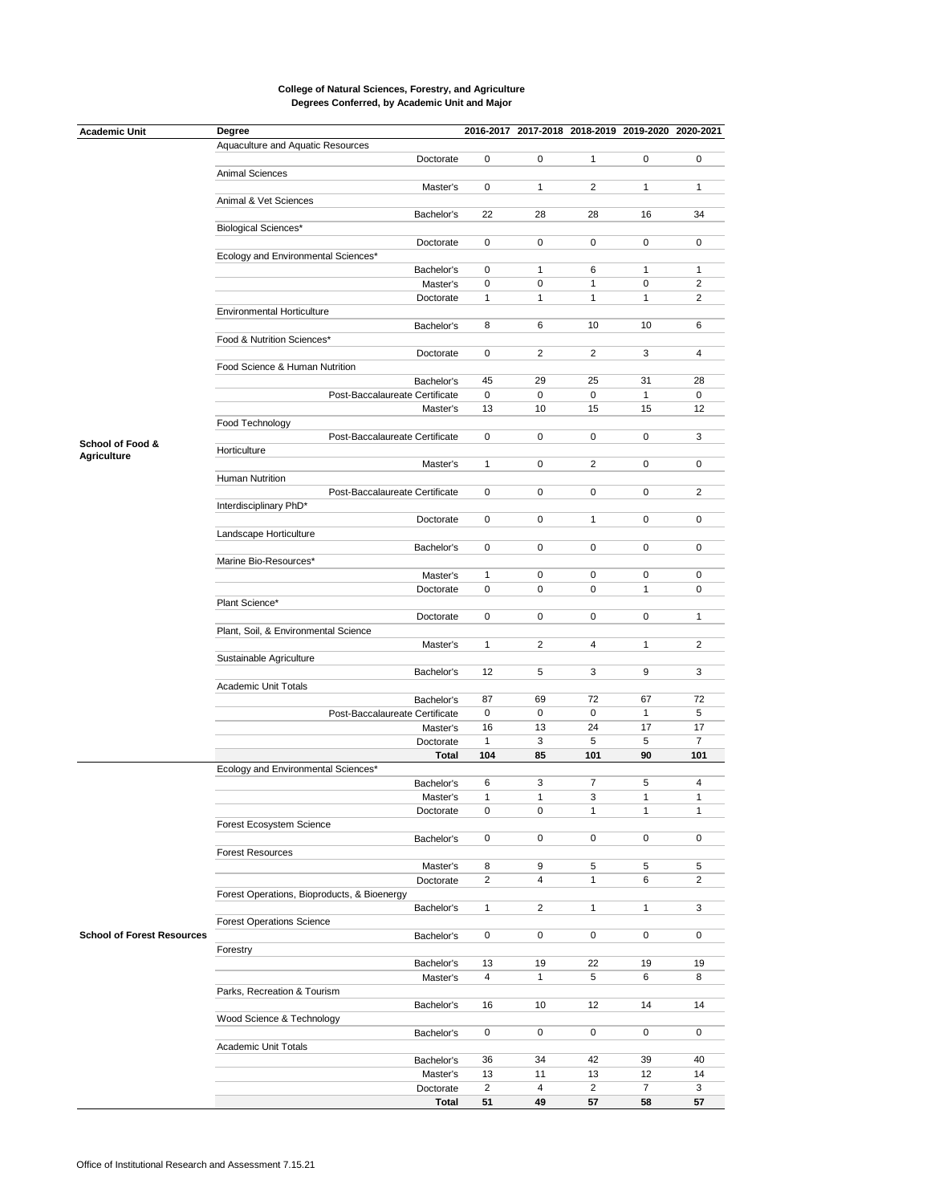| <b>Academic Unit</b>              | Degree                                            |                |                 |                | 2016-2017 2017-2018 2018-2019 2019-2020 2020-2021 |                |
|-----------------------------------|---------------------------------------------------|----------------|-----------------|----------------|---------------------------------------------------|----------------|
|                                   | Aquaculture and Aquatic Resources                 |                |                 |                |                                                   |                |
|                                   | Doctorate                                         | 0              | 0               | 1              | 0                                                 | 0              |
|                                   | Animal Sciences                                   |                |                 |                |                                                   |                |
|                                   | Master's                                          | 0              | $\mathbf{1}$    | 2              | $\mathbf{1}$                                      | $\mathbf{1}$   |
|                                   | Animal & Vet Sciences                             |                |                 |                |                                                   |                |
|                                   | Bachelor's                                        | 22             | 28              | 28             | 16                                                | 34             |
|                                   | <b>Biological Sciences*</b>                       |                |                 |                |                                                   |                |
|                                   | Doctorate                                         | 0              | 0               | 0              | 0                                                 | 0              |
|                                   | Ecology and Environmental Sciences*<br>Bachelor's | 0              | $\mathbf{1}$    | 6              | $\mathbf{1}$                                      | $\mathbf{1}$   |
|                                   | Master's                                          | $\pmb{0}$      | $\mathbf 0$     | 1              | $\mathbf 0$                                       | $\overline{2}$ |
|                                   | Doctorate                                         | $\mathbf{1}$   | $\mathbf{1}$    | 1              | $\mathbf{1}$                                      | 2              |
|                                   | <b>Environmental Horticulture</b>                 |                |                 |                |                                                   |                |
|                                   | Bachelor's                                        | 8              | 6               | 10             | 10                                                | 6              |
|                                   | Food & Nutrition Sciences*                        |                |                 |                |                                                   |                |
|                                   | Doctorate                                         | 0              | $\overline{2}$  | $\overline{2}$ | 3                                                 | $\overline{4}$ |
|                                   | Food Science & Human Nutrition                    |                |                 |                |                                                   |                |
|                                   | Bachelor's                                        | 45             | 29              | 25             | 31                                                | 28             |
|                                   | Post-Baccalaureate Certificate                    | 0              | $\mathsf 0$     | 0              | $\mathbf{1}$                                      | 0              |
|                                   | Master's                                          | 13             | 10              | 15             | 15                                                | 12             |
|                                   | Food Technology                                   |                |                 |                |                                                   |                |
| School of Food &                  | Post-Baccalaureate Certificate                    | 0              | 0               | 0              | 0                                                 | 3              |
| <b>Agriculture</b>                | Horticulture                                      |                |                 |                |                                                   |                |
|                                   | Master's                                          | $\mathbf{1}$   | 0               | 2              | 0                                                 | 0              |
|                                   | Human Nutrition                                   |                |                 |                |                                                   |                |
|                                   | Post-Baccalaureate Certificate                    | 0              | 0               | 0              | 0                                                 | $\overline{2}$ |
|                                   | Interdisciplinary PhD*                            |                |                 |                |                                                   |                |
|                                   | Doctorate                                         | 0              | $\mathbf 0$     | $\mathbf{1}$   | 0                                                 | 0              |
|                                   | Landscape Horticulture                            | 0              | $\mathbf 0$     | 0              | 0                                                 |                |
|                                   | Bachelor's                                        |                |                 |                |                                                   | 0              |
|                                   | Marine Bio-Resources*<br>Master's                 | $\mathbf{1}$   | 0               | 0              | 0                                                 | 0              |
|                                   | Doctorate                                         | 0              | 0               | 0              | $\mathbf{1}$                                      | 0              |
|                                   | Plant Science*                                    |                |                 |                |                                                   |                |
|                                   | Doctorate                                         | 0              | 0               | 0              | 0                                                 | $\mathbf{1}$   |
|                                   | Plant, Soil, & Environmental Science              |                |                 |                |                                                   |                |
|                                   | Master's                                          | $\mathbf{1}$   | $\overline{2}$  | 4              | $\mathbf{1}$                                      | $\overline{2}$ |
|                                   | Sustainable Agriculture                           |                |                 |                |                                                   |                |
|                                   | Bachelor's                                        | 12             | 5               | 3              | 9                                                 | 3              |
|                                   | Academic Unit Totals                              |                |                 |                |                                                   |                |
|                                   | Bachelor's                                        | 87             | 69              | 72             | 67                                                | 72             |
|                                   | Post-Baccalaureate Certificate                    | 0              | 0               | 0              | $\mathbf{1}$                                      | 5              |
|                                   | Master's                                          | 16             | 13              | 24             | 17                                                | 17             |
|                                   | Doctorate                                         | $\mathbf{1}$   | 3               | 5              | 5                                                 | $\overline{7}$ |
|                                   | <b>Total</b>                                      | 104            | 85              | 101            | 90                                                | 101            |
|                                   | Ecology and Environmental Sciences*               | 6              |                 | 7              |                                                   | 4              |
|                                   | Bachelor's<br>Master's                            | $\mathbf{1}$   | 3<br>1          | 3              | 5<br>$\mathbf{1}$                                 | $\mathbf{1}$   |
|                                   |                                                   | 0              | 0               | 1              | $\mathbf{1}$                                      | 1              |
|                                   | Doctorate<br>Forest Ecosystem Science             |                |                 |                |                                                   |                |
|                                   | Bachelor's                                        | 0              | 0               | 0              | 0                                                 | 0              |
|                                   | <b>Forest Resources</b>                           |                |                 |                |                                                   |                |
|                                   | Master's                                          | 8              | 9               | 5              | 5                                                 | 5              |
|                                   | Doctorate                                         | $\overline{c}$ | $\overline{4}$  | $\mathbf{1}$   | 6                                                 | $\overline{2}$ |
|                                   | Forest Operations, Bioproducts, & Bioenergy       |                |                 |                |                                                   |                |
|                                   | Bachelor's                                        | $\mathbf{1}$   | $\overline{2}$  | $\mathbf{1}$   | $\mathbf{1}$                                      | 3              |
|                                   | <b>Forest Operations Science</b>                  |                |                 |                |                                                   |                |
| <b>School of Forest Resources</b> | Bachelor's                                        | 0              | 0               | 0              | 0                                                 | 0              |
|                                   | Forestry                                          |                |                 |                |                                                   |                |
|                                   | Bachelor's                                        | 13             | 19              | 22             | 19                                                | 19             |
|                                   | Master's                                          | 4              | $\mathbf{1}$    | 5              | 6                                                 | 8              |
|                                   | Parks, Recreation & Tourism                       |                |                 |                |                                                   |                |
|                                   | Bachelor's                                        | 16             | 10 <sup>°</sup> | 12             | 14                                                | 14             |
|                                   | Wood Science & Technology                         |                |                 |                |                                                   |                |
|                                   | Bachelor's                                        | 0              | 0               | 0              | 0                                                 | 0              |
|                                   | Academic Unit Totals                              |                |                 |                |                                                   |                |
|                                   | Bachelor's                                        | 36             | 34              | 42             | 39                                                | 40             |
|                                   | Master's                                          | 13             | 11              | 13             | 12                                                | 14             |
|                                   | Doctorate                                         | $\overline{c}$ | $\overline{4}$  | $\overline{2}$ | $\overline{7}$                                    | 3              |
|                                   | <b>Total</b>                                      | 51             | 49              | 57             | 58                                                | 57             |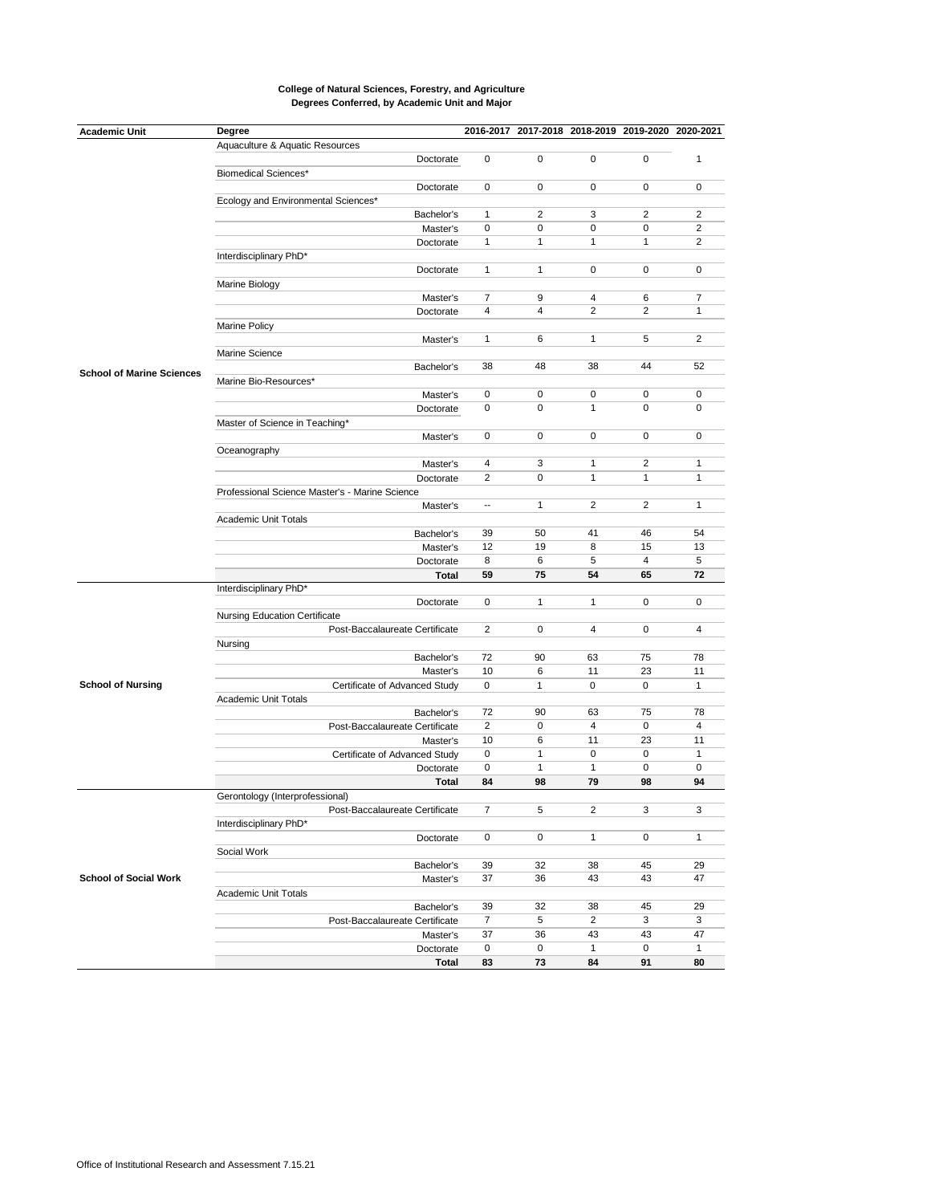| <b>Academic Unit</b>             | Degree                                         |                |                |                | 2016-2017 2017-2018 2018-2019 2019-2020 2020-2021 |                |
|----------------------------------|------------------------------------------------|----------------|----------------|----------------|---------------------------------------------------|----------------|
|                                  | Aquaculture & Aquatic Resources                |                |                |                |                                                   |                |
|                                  | Doctorate                                      | $\mathbf 0$    | $\mathbf 0$    | 0              | $\mathbf 0$                                       | $\mathbf{1}$   |
|                                  | <b>Biomedical Sciences*</b>                    |                |                |                |                                                   |                |
|                                  | Doctorate                                      | 0              | 0              | 0              | 0                                                 | 0              |
|                                  | Ecology and Environmental Sciences*            |                |                |                |                                                   |                |
|                                  | Bachelor's                                     | $\mathbf{1}$   | $\overline{2}$ | 3              | $\overline{2}$                                    | $\overline{2}$ |
|                                  | Master's                                       | 0              | 0              | 0              | 0                                                 | 2              |
|                                  | Doctorate                                      | $\mathbf{1}$   | $\mathbf{1}$   | $\mathbf{1}$   | $\mathbf{1}$                                      | 2              |
|                                  | Interdisciplinary PhD*                         |                |                |                |                                                   |                |
|                                  | Doctorate                                      | $\mathbf{1}$   | $\mathbf{1}$   | 0              | 0                                                 | 0              |
|                                  | Marine Biology                                 |                |                |                |                                                   |                |
|                                  | Master's                                       | $\overline{7}$ | 9              | $\overline{4}$ | 6                                                 | $\overline{7}$ |
|                                  | Doctorate                                      | $\overline{4}$ | $\overline{4}$ | $\overline{2}$ | $\overline{2}$                                    | $\mathbf{1}$   |
|                                  | <b>Marine Policy</b>                           |                |                |                |                                                   |                |
|                                  | Master's                                       | $\mathbf{1}$   | 6              | $\mathbf{1}$   | 5                                                 | $\overline{2}$ |
|                                  | Marine Science                                 |                |                |                |                                                   |                |
|                                  | Bachelor's                                     | 38             | 48             | 38             | 44                                                | 52             |
| <b>School of Marine Sciences</b> | Marine Bio-Resources*                          |                |                |                |                                                   |                |
|                                  | Master's                                       | 0              | 0              | 0              | 0                                                 | 0              |
|                                  | Doctorate                                      | 0              | $\mathbf 0$    | $\mathbf{1}$   | $\Omega$                                          | $\Omega$       |
|                                  | Master of Science in Teaching*                 |                |                |                |                                                   |                |
|                                  | Master's                                       | 0              | 0              | 0              | 0                                                 | 0              |
|                                  | Oceanography                                   |                |                |                |                                                   |                |
|                                  | Master's                                       | 4              | 3              | $\mathbf{1}$   | $\overline{2}$                                    | $\mathbf{1}$   |
|                                  | Doctorate                                      | $\overline{2}$ | $\mathbf 0$    | $\mathbf{1}$   | $\mathbf{1}$                                      | 1              |
|                                  | Professional Science Master's - Marine Science |                |                |                |                                                   |                |
|                                  | Master's                                       |                | $\mathbf{1}$   | $\overline{2}$ | 2                                                 | 1              |
|                                  | Academic Unit Totals                           |                |                |                |                                                   |                |
|                                  | Bachelor's                                     | 39             | 50             | 41             | 46                                                | 54             |
|                                  | Master's                                       | 12             | 19             | 8              | 15                                                | 13             |
|                                  | Doctorate                                      | 8              | 6              | 5              | $\overline{4}$                                    | 5              |
|                                  | <b>Total</b>                                   | 59             | 75             | 54             | 65                                                | 72             |
|                                  | Interdisciplinary PhD*                         |                |                |                |                                                   |                |
|                                  | Doctorate                                      | 0              | $\mathbf{1}$   | $\mathbf{1}$   | 0                                                 | 0              |
|                                  | <b>Nursing Education Certificate</b>           |                |                |                |                                                   |                |
|                                  | Post-Baccalaureate Certificate                 | 2              | 0              | $\overline{4}$ | 0                                                 | $\overline{4}$ |
|                                  | Nursing                                        |                |                |                |                                                   |                |
|                                  | Bachelor's                                     | 72             | 90             | 63             | 75                                                | 78             |
|                                  | Master's                                       | 10             | 6              | 11             | 23                                                | 11             |
| <b>School of Nursing</b>         | Certificate of Advanced Study                  | 0              | $\mathbf{1}$   | 0              | 0                                                 | $\mathbf{1}$   |
|                                  | Academic Unit Totals                           |                |                |                |                                                   |                |
|                                  | Bachelor's                                     | 72             | 90             | 63             | 75                                                | 78             |
|                                  | Post-Baccalaureate Certificate                 | $\overline{2}$ | 0              | $\overline{4}$ | 0                                                 | $\overline{4}$ |
|                                  | Master's                                       | 10             | 6              | 11             | 23                                                | 11             |
|                                  | Certificate of Advanced Study                  | 0              | $\mathbf{1}$   | 0              | 0                                                 | $\mathbf{1}$   |
|                                  | Doctorate                                      | 0              | $\mathbf{1}$   | $\mathbf{1}$   | 0                                                 | 0              |
|                                  | <b>Total</b>                                   | 84             | 98             | 79             | 98                                                | 94             |
|                                  | Gerontology (Interprofessional)                |                |                |                |                                                   |                |
|                                  | Post-Baccalaureate Certificate                 | 7              | 5              | 2              | 3                                                 | 3              |
|                                  | Interdisciplinary PhD*                         |                |                |                |                                                   |                |
|                                  | Doctorate                                      | 0              | 0              | $\mathbf{1}$   | 0                                                 | $\mathbf{1}$   |
|                                  | Social Work                                    |                |                |                |                                                   |                |
|                                  | Bachelor's                                     | 39             | 32             | 38             | 45                                                | 29             |
| <b>School of Social Work</b>     | Master's                                       | 37             | 36             | 43             | 43                                                | 47             |
|                                  | Academic Unit Totals                           |                |                |                |                                                   |                |
|                                  | Bachelor's                                     | 39             | 32             | 38             | 45                                                | 29             |
|                                  | Post-Baccalaureate Certificate                 | $\overline{7}$ | 5              | $\overline{2}$ | 3                                                 | 3              |
|                                  | Master's                                       | 37             | 36             | 43             | 43                                                | 47             |
|                                  | Doctorate                                      | 0              | 0              | $\mathbf{1}$   | 0                                                 | $\mathbf{1}$   |
|                                  |                                                | 83             | 73             | 84             | 91                                                | 80             |
|                                  | <b>Total</b>                                   |                |                |                |                                                   |                |